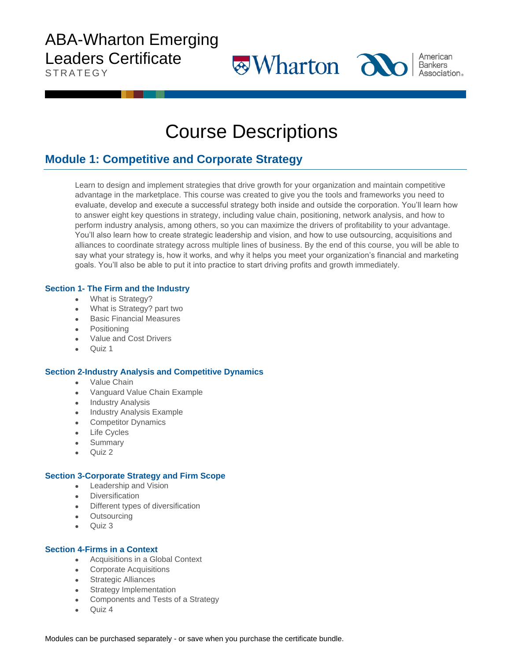# ABA-Wharton Emerging Leaders Certificate

**STRATEGY** 

Course Descriptions

American

**Wharton and** Association.

## **Module 1: Competitive and Corporate Strategy**

Learn to design and implement strategies that drive growth for your organization and maintain competitive advantage in the marketplace. This course was created to give you the tools and frameworks you need to evaluate, develop and execute a successful strategy both inside and outside the corporation. You'll learn how to answer eight key questions in strategy, including value chain, positioning, network analysis, and how to perform industry analysis, among others, so you can maximize the drivers of profitability to your advantage. You'll also learn how to create strategic leadership and vision, and how to use outsourcing, acquisitions and alliances to coordinate strategy across multiple lines of business. By the end of this course, you will be able to say what your strategy is, how it works, and why it helps you meet your organization's financial and marketing goals. You'll also be able to put it into practice to start driving profits and growth immediately.

### **Section 1- The Firm and the Industry**

- What is Strategy?
- What is Strategy? part two
- Basic Financial Measures
- Positioning
- Value and Cost Drivers
- Quiz 1

### **Section 2-Industry Analysis and Competitive Dynamics**

- Value Chain
- Vanguard Value Chain Example
- Industry Analysis
- Industry Analysis Example
- **Competitor Dynamics**
- Life Cycles
- **Summary**
- Quiz 2

### **Section 3-Corporate Strategy and Firm Scope**

- Leadership and Vision
- **Diversification**
- Different types of diversification
- **Outsourcing**
- Quiz 3

### **Section 4-Firms in a Context**

- Acquisitions in a Global Context
- **Corporate Acquisitions**
- Strategic Alliances
- Strategy Implementation
- Components and Tests of a Strategy
- Quiz 4

Modules can be purchased separately - or save when you purchase the certificate bundle.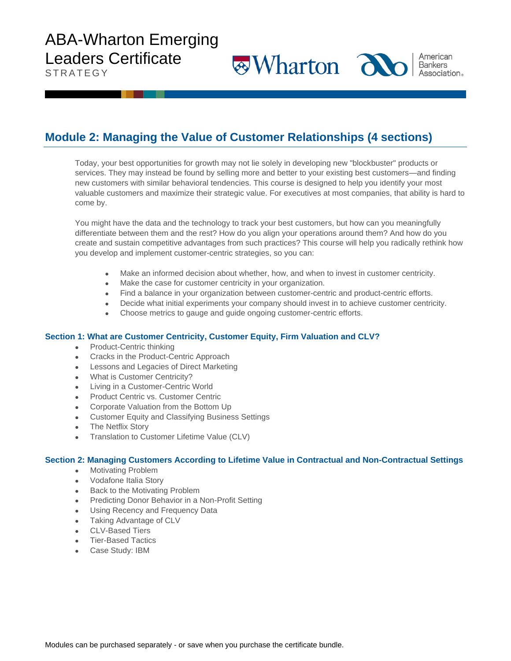# ABA-Wharton Emerging Leaders Certificate

**STRATEGY** 

## **Module 2: Managing the Value of Customer Relationships (4 sections)**

Today, your best opportunities for growth may not lie solely in developing new "blockbuster" products or services. They may instead be found by selling more and better to your existing best customers—and finding new customers with similar behavioral tendencies. This course is designed to help you identify your most valuable customers and maximize their strategic value. For executives at most companies, that ability is hard to come by.

**Wharton alol** 

American

Bankers **Association**.

You might have the data and the technology to track your best customers, but how can you meaningfully differentiate between them and the rest? How do you align your operations around them? And how do you create and sustain competitive advantages from such practices? This course will help you radically rethink how you develop and implement customer-centric strategies, so you can:

- Make an informed decision about whether, how, and when to invest in customer centricity.
- Make the case for customer centricity in your organization.
- Find a balance in your organization between customer-centric and product-centric efforts.
- Decide what initial experiments your company should invest in to achieve customer centricity.
- Choose metrics to gauge and guide ongoing customer-centric efforts.

#### **Section 1: What are Customer Centricity, Customer Equity, Firm Valuation and CLV?**

- Product-Centric thinking
- Cracks in the Product-Centric Approach
- Lessons and Legacies of Direct Marketing
- What is Customer Centricity?
- Living in a Customer-Centric World
- Product Centric vs. Customer Centric
- Corporate Valuation from the Bottom Up
- Customer Equity and Classifying Business Settings
- **The Netflix Story**
- Translation to Customer Lifetime Value (CLV)

#### **Section 2: Managing Customers According to Lifetime Value in Contractual and Non-Contractual Settings**

- Motivating Problem
- Vodafone Italia Story
- Back to the Motivating Problem
- Predicting Donor Behavior in a Non-Profit Setting
- Using Recency and Frequency Data
- Taking Advantage of CLV
- CLV-Based Tiers
- Tier-Based Tactics
- Case Study: IBM